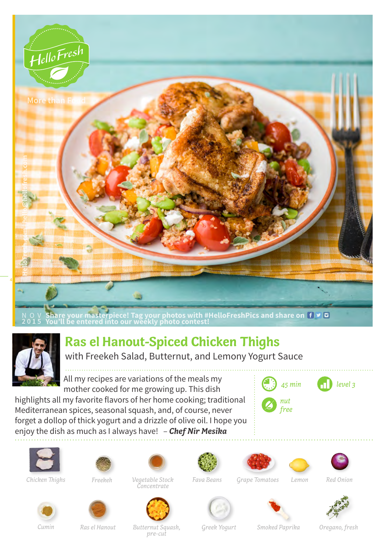



## **Ras el Hanout-Spiced Chicken Thighs**

with Freekeh Salad, Butternut, and Lemony Yogurt Sauce

All my recipes are variations of the meals my mother cooked for me growing up. This dish

highlights all my favorite flavors of her home cooking; traditional Mediterranean spices, seasonal squash, and, of course, never forget a dollop of thick yogurt and a drizzle of olive oil. I hope you enjoy the dish as much as I always have! – *Chef Nir Mesika*









*Chicken Thighs Freekeh Vegetable Stock Grape Tomatoes Lemon Red Onion Concentrate*











*Greek Yogurt Smoked Paprika Oregano, fresh*

*Cumin Ras el Hanout Butternut Squash, pre-cut*